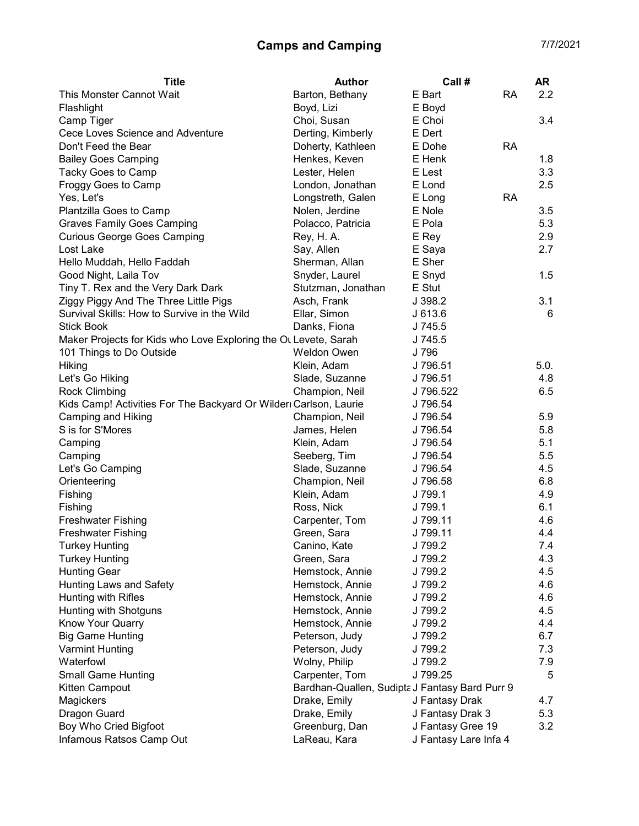## Camps and Camping 7/7/2021

| <b>Title</b>                                                     | <b>Author</b>                                  | Call #                | AR   |
|------------------------------------------------------------------|------------------------------------------------|-----------------------|------|
| This Monster Cannot Wait                                         | Barton, Bethany                                | E Bart<br><b>RA</b>   | 2.2  |
| Flashlight                                                       | Boyd, Lizi                                     | E Boyd                |      |
| Camp Tiger                                                       | Choi, Susan                                    | E Choi                | 3.4  |
| Cece Loves Science and Adventure                                 | Derting, Kimberly                              | E Dert                |      |
| Don't Feed the Bear                                              | Doherty, Kathleen                              | E Dohe<br><b>RA</b>   |      |
| <b>Bailey Goes Camping</b>                                       | Henkes, Keven                                  | E Henk                | 1.8  |
| Tacky Goes to Camp                                               | Lester, Helen                                  | E Lest                | 3.3  |
| Froggy Goes to Camp                                              | London, Jonathan                               | E Lond                | 2.5  |
| Yes, Let's                                                       | Longstreth, Galen                              | E Long<br><b>RA</b>   |      |
| Plantzilla Goes to Camp                                          | Nolen, Jerdine                                 | E Nole                | 3.5  |
| <b>Graves Family Goes Camping</b>                                | Polacco, Patricia                              | E Pola                | 5.3  |
| <b>Curious George Goes Camping</b>                               | Rey, H. A.                                     | E Rey                 | 2.9  |
| Lost Lake                                                        | Say, Allen                                     | E Saya                | 2.7  |
| Hello Muddah, Hello Faddah                                       | Sherman, Allan                                 | E Sher                |      |
| Good Night, Laila Tov                                            | Snyder, Laurel                                 | E Snyd                | 1.5  |
| Tiny T. Rex and the Very Dark Dark                               | Stutzman, Jonathan                             | E Stut                |      |
| Ziggy Piggy And The Three Little Pigs                            | Asch, Frank                                    | J 398.2               | 3.1  |
| Survival Skills: How to Survive in the Wild                      | Ellar, Simon                                   | J613.6                | 6    |
| <b>Stick Book</b>                                                | Danks, Fiona                                   | J 745.5               |      |
| Maker Projects for Kids who Love Exploring the OL Levete, Sarah  |                                                | J 745.5               |      |
| 101 Things to Do Outside                                         | Weldon Owen                                    | J 796                 |      |
| Hiking                                                           | Klein, Adam                                    | J 796.51              | 5.0. |
| Let's Go Hiking                                                  | Slade, Suzanne                                 | J 796.51              | 4.8  |
| <b>Rock Climbing</b>                                             | Champion, Neil                                 | J 796.522             | 6.5  |
| Kids Camp! Activities For The Backyard Or Wilder Carlson, Laurie |                                                | J 796.54              |      |
| Camping and Hiking                                               | Champion, Neil                                 | J 796.54              | 5.9  |
| S is for S'Mores                                                 | James, Helen                                   | J 796.54              | 5.8  |
| Camping                                                          | Klein, Adam                                    | J 796.54              | 5.1  |
| Camping                                                          | Seeberg, Tim                                   | J 796.54              | 5.5  |
| Let's Go Camping                                                 | Slade, Suzanne                                 | J 796.54              | 4.5  |
| Orienteering                                                     | Champion, Neil                                 | J 796.58              | 6.8  |
| Fishing                                                          | Klein, Adam                                    | J 799.1               | 4.9  |
| Fishing                                                          | Ross, Nick                                     | J 799.1               | 6.1  |
| <b>Freshwater Fishing</b>                                        | Carpenter, Tom                                 | J 799.11              | 4.6  |
| <b>Freshwater Fishing</b>                                        | Green, Sara                                    | J 799.11              | 4.4  |
| <b>Turkey Hunting</b>                                            | Canino, Kate                                   | J 799.2               | 7.4  |
| <b>Turkey Hunting</b>                                            | Green, Sara                                    | J 799.2               | 4.3  |
| <b>Hunting Gear</b>                                              | Hemstock, Annie                                | J 799.2               | 4.5  |
| Hunting Laws and Safety                                          | Hemstock, Annie                                | J 799.2               | 4.6  |
| Hunting with Rifles                                              | Hemstock, Annie                                | J 799.2               | 4.6  |
| Hunting with Shotguns                                            | Hemstock, Annie                                | J 799.2               | 4.5  |
| Know Your Quarry                                                 | Hemstock, Annie                                | J 799.2               | 4.4  |
| <b>Big Game Hunting</b>                                          | Peterson, Judy                                 | J 799.2               | 6.7  |
| <b>Varmint Hunting</b>                                           | Peterson, Judy                                 | J 799.2               | 7.3  |
| Waterfowl                                                        | Wolny, Philip                                  | J 799.2               | 7.9  |
| <b>Small Game Hunting</b>                                        | Carpenter, Tom                                 | J 799.25              | 5    |
| Kitten Campout                                                   | Bardhan-Quallen, Sudipta J Fantasy Bard Purr 9 |                       |      |
| Magickers                                                        | Drake, Emily                                   | J Fantasy Drak        | 4.7  |
| Dragon Guard                                                     | Drake, Emily                                   | J Fantasy Drak 3      | 5.3  |
| Boy Who Cried Bigfoot                                            | Greenburg, Dan                                 | J Fantasy Gree 19     | 3.2  |
| Infamous Ratsos Camp Out                                         | LaReau, Kara                                   | J Fantasy Lare Infa 4 |      |